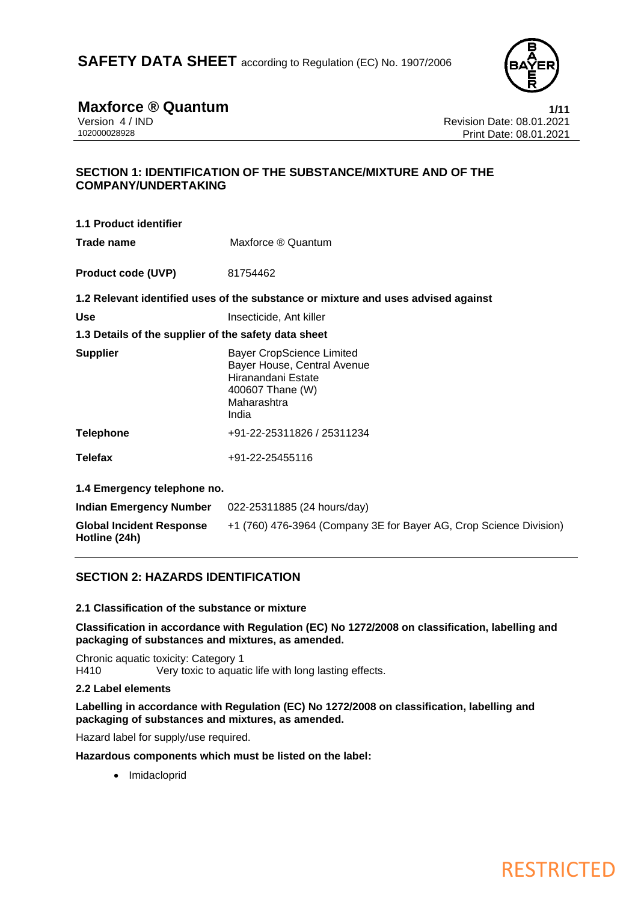

**Maxforce ® Quantum**<br>Version 4/IND<br>Revision Date: 08.01.2021 Version 4 / IND<br>102000028928<br>Print Date: 08.01.2021 Print Date: 08.01.2021

# **SECTION 1: IDENTIFICATION OF THE SUBSTANCE/MIXTURE AND OF THE COMPANY/UNDERTAKING**

**1.1 Product identifier Trade name** Maxforce ® Quantum **Product code (UVP)** 81754462 **1.2 Relevant identified uses of the substance or mixture and uses advised against Use** Insecticide, Ant killer **1.3 Details of the supplier of the safety data sheet Supplier** Bayer CropScience Limited Bayer House, Central Avenue Hiranandani Estate 400607 Thane (W) Maharashtra India **Telephone** +91-22-25311826 / 25311234 **Telefax** +91-22-25455116 **1.4 Emergency telephone no. Indian Emergency Number** 022-25311885 (24 hours/day) **Global Incident Response**  +1 (760) 476-3964 (Company 3E for Bayer AG, Crop Science Division)

# **SECTION 2: HAZARDS IDENTIFICATION**

## **2.1 Classification of the substance or mixture**

**Classification in accordance with Regulation (EC) No 1272/2008 on classification, labelling and packaging of substances and mixtures, as amended.**

Chronic aquatic toxicity: Category 1 H410 Very toxic to aquatic life with long lasting effects.

## **2.2 Label elements**

**Hotline (24h)**

**Labelling in accordance with Regulation (EC) No 1272/2008 on classification, labelling and packaging of substances and mixtures, as amended.**

Hazard label for supply/use required.

**Hazardous components which must be listed on the label:**

• Imidacloprid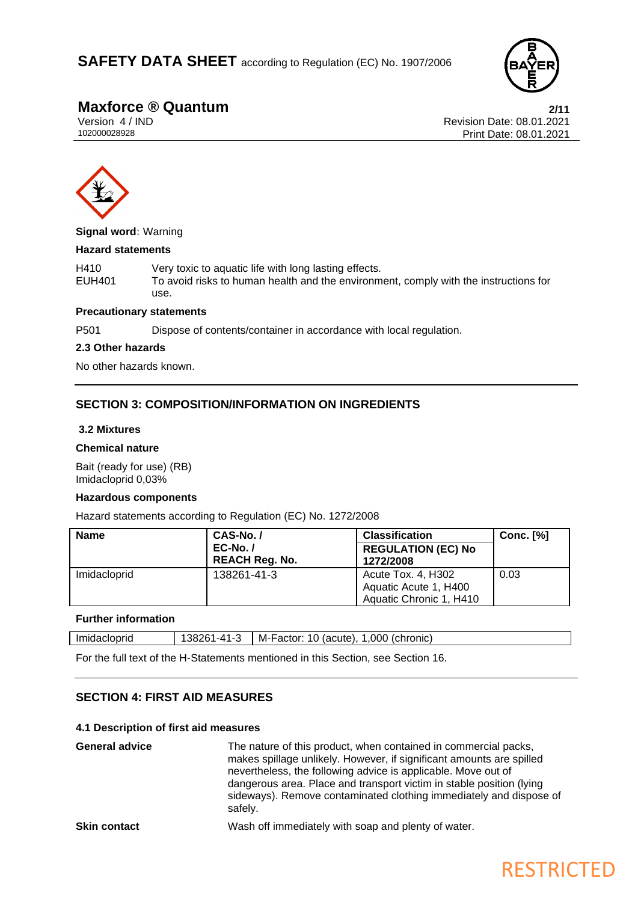

**Maxforce ® Quantum**<br>
Version 4/IND 2/11<br>
Revision Date: 08.01.2021 Version 4 / IND<br>102000028928<br>Print Date: 08.01.2021 Print Date: 08.01.2021



**Signal word:** Warning

### **Hazard statements**

H410 Very toxic to aquatic life with long lasting effects.<br>EUH401 To avoid risks to human health and the environm To avoid risks to human health and the environment, comply with the instructions for use.

### **Precautionary statements**

P501 Dispose of contents/container in accordance with local regulation.

### **2.3 Other hazards**

No other hazards known.

# **SECTION 3: COMPOSITION/INFORMATION ON INGREDIENTS**

### **3.2 Mixtures**

### **Chemical nature**

Bait (ready for use) (RB) Imidacloprid 0,03%

### **Hazardous components**

Hazard statements according to Regulation (EC) No. 1272/2008

| <b>Name</b>  | CAS-No./              | <b>Classification</b>     | <b>Conc.</b> [%] |
|--------------|-----------------------|---------------------------|------------------|
|              | $EC-No. /$            | <b>REGULATION (EC) No</b> |                  |
|              | <b>REACH Reg. No.</b> | 1272/2008                 |                  |
| Imidacloprid | 138261-41-3           | Acute Tox. 4, H302        | 0.03             |
|              |                       | Aquatic Acute 1, H400     |                  |
|              |                       | Aquatic Chronic 1, H410   |                  |

# **Further information**

| Imidacloprid | 382<br>$-41-$<br>,,,<br>1 – 4<br>ີ | M-Factor:<br>.000<br>10<br>(chronic)<br>(acute) |
|--------------|------------------------------------|-------------------------------------------------|
|              |                                    |                                                 |

For the full text of the H-Statements mentioned in this Section, see Section 16.

# **SECTION 4: FIRST AID MEASURES**

### **4.1 Description of first aid measures**

| <b>General advice</b> | The nature of this product, when contained in commercial packs,<br>makes spillage unlikely. However, if significant amounts are spilled<br>nevertheless, the following advice is applicable. Move out of<br>dangerous area. Place and transport victim in stable position (lying<br>sideways). Remove contaminated clothing immediately and dispose of<br>safely. |
|-----------------------|-------------------------------------------------------------------------------------------------------------------------------------------------------------------------------------------------------------------------------------------------------------------------------------------------------------------------------------------------------------------|
| <b>Skin contact</b>   | Wash off immediately with soap and plenty of water.                                                                                                                                                                                                                                                                                                               |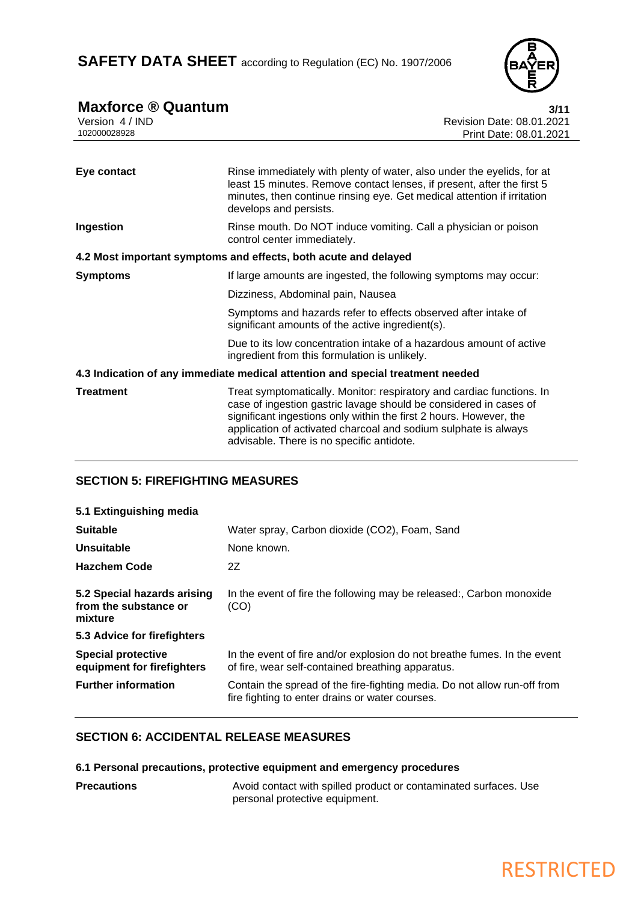

| <b>Maxforce ® Quantum</b><br>Version 4 / IND<br>102000028928 | 3/11<br><b>Revision Date: 08.01.2021</b><br>Print Date: 08.01.2021                                                                                                                                                                                                                                                               |
|--------------------------------------------------------------|----------------------------------------------------------------------------------------------------------------------------------------------------------------------------------------------------------------------------------------------------------------------------------------------------------------------------------|
|                                                              |                                                                                                                                                                                                                                                                                                                                  |
| Eye contact                                                  | Rinse immediately with plenty of water, also under the eyelids, for at<br>least 15 minutes. Remove contact lenses, if present, after the first 5<br>minutes, then continue rinsing eye. Get medical attention if irritation<br>develops and persists.                                                                            |
| Ingestion                                                    | Rinse mouth. Do NOT induce vomiting. Call a physician or poison<br>control center immediately.                                                                                                                                                                                                                                   |
|                                                              | 4.2 Most important symptoms and effects, both acute and delayed                                                                                                                                                                                                                                                                  |
| <b>Symptoms</b>                                              | If large amounts are ingested, the following symptoms may occur:                                                                                                                                                                                                                                                                 |
|                                                              | Dizziness, Abdominal pain, Nausea                                                                                                                                                                                                                                                                                                |
|                                                              | Symptoms and hazards refer to effects observed after intake of<br>significant amounts of the active ingredient(s).                                                                                                                                                                                                               |
|                                                              | Due to its low concentration intake of a hazardous amount of active<br>ingredient from this formulation is unlikely.                                                                                                                                                                                                             |
|                                                              | 4.3 Indication of any immediate medical attention and special treatment needed                                                                                                                                                                                                                                                   |
| <b>Treatment</b>                                             | Treat symptomatically. Monitor: respiratory and cardiac functions. In<br>case of ingestion gastric lavage should be considered in cases of<br>significant ingestions only within the first 2 hours. However, the<br>application of activated charcoal and sodium sulphate is always<br>advisable. There is no specific antidote. |

# **SECTION 5: FIREFIGHTING MEASURES**

| 5.1 Extinguishing media                                         |                                                                                                                               |
|-----------------------------------------------------------------|-------------------------------------------------------------------------------------------------------------------------------|
| <b>Suitable</b>                                                 | Water spray, Carbon dioxide (CO2), Foam, Sand                                                                                 |
| Unsuitable                                                      | None known.                                                                                                                   |
| <b>Hazchem Code</b>                                             | 2Z                                                                                                                            |
| 5.2 Special hazards arising<br>from the substance or<br>mixture | In the event of fire the following may be released:, Carbon monoxide<br>(CO)                                                  |
| 5.3 Advice for firefighters                                     |                                                                                                                               |
| <b>Special protective</b><br>equipment for firefighters         | In the event of fire and/or explosion do not breathe fumes. In the event<br>of fire, wear self-contained breathing apparatus. |
| <b>Further information</b>                                      | Contain the spread of the fire-fighting media. Do not allow run-off from<br>fire fighting to enter drains or water courses.   |

# **SECTION 6: ACCIDENTAL RELEASE MEASURES**

# **6.1 Personal precautions, protective equipment and emergency procedures**

**Precautions Precautions** Avoid contact with spilled product or contaminated surfaces. Use personal protective equipment.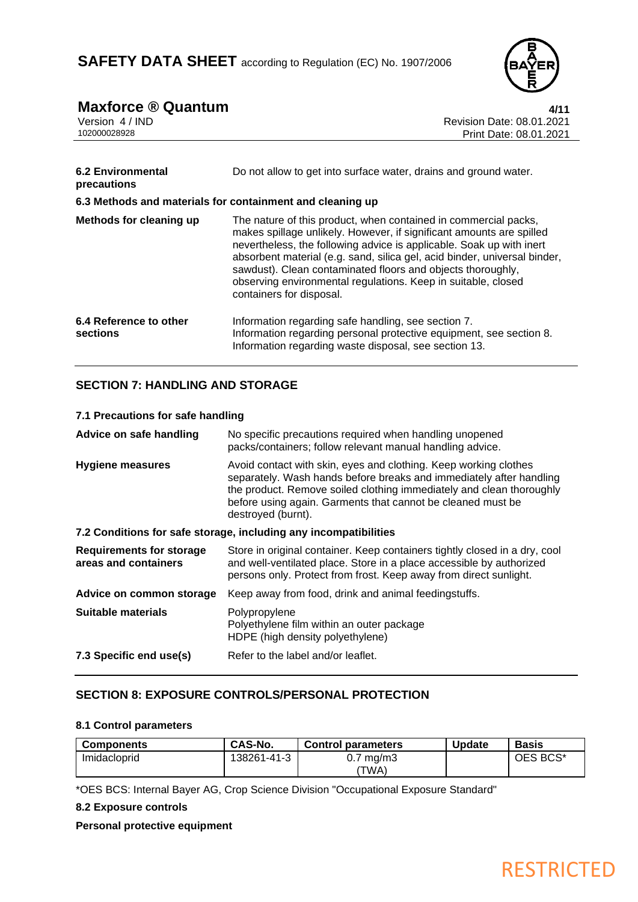![](_page_3_Picture_1.jpeg)

# **Maxforce ® Quantum** 4/11

| Version 4 / IND                                           | Revision Date: 08.01.2021                                                                                                                                                                                                                                                                                                                                                                                                                                |
|-----------------------------------------------------------|----------------------------------------------------------------------------------------------------------------------------------------------------------------------------------------------------------------------------------------------------------------------------------------------------------------------------------------------------------------------------------------------------------------------------------------------------------|
| 102000028928                                              | Print Date: 08.01.2021                                                                                                                                                                                                                                                                                                                                                                                                                                   |
| <b>6.2 Environmental</b>                                  | Do not allow to get into surface water, drains and ground water.                                                                                                                                                                                                                                                                                                                                                                                         |
| precautions                                               |                                                                                                                                                                                                                                                                                                                                                                                                                                                          |
| 6.3 Methods and materials for containment and cleaning up |                                                                                                                                                                                                                                                                                                                                                                                                                                                          |
| Methods for cleaning up                                   | The nature of this product, when contained in commercial packs,<br>makes spillage unlikely. However, if significant amounts are spilled<br>nevertheless, the following advice is applicable. Soak up with inert<br>absorbent material (e.g. sand, silica gel, acid binder, universal binder,<br>sawdust). Clean contaminated floors and objects thoroughly,<br>observing environmental regulations. Keep in suitable, closed<br>containers for disposal. |
| 6.4 Reference to other<br>sections                        | Information regarding safe handling, see section 7.<br>Information regarding personal protective equipment, see section 8.<br>Information regarding waste disposal, see section 13.                                                                                                                                                                                                                                                                      |

# **SECTION 7: HANDLING AND STORAGE**

# **7.1 Precautions for safe handling**

| Advice on safe handling                                          | No specific precautions required when handling unopened<br>packs/containers; follow relevant manual handling advice.                                                                                                                                                                                 |  |
|------------------------------------------------------------------|------------------------------------------------------------------------------------------------------------------------------------------------------------------------------------------------------------------------------------------------------------------------------------------------------|--|
| <b>Hygiene measures</b>                                          | Avoid contact with skin, eyes and clothing. Keep working clothes<br>separately. Wash hands before breaks and immediately after handling<br>the product. Remove soiled clothing immediately and clean thoroughly<br>before using again. Garments that cannot be cleaned must be<br>destroyed (burnt). |  |
| 7.2 Conditions for safe storage, including any incompatibilities |                                                                                                                                                                                                                                                                                                      |  |
| <b>Requirements for storage</b><br>areas and containers          | Store in original container. Keep containers tightly closed in a dry, cool<br>and well-ventilated place. Store in a place accessible by authorized<br>persons only. Protect from frost. Keep away from direct sunlight.                                                                              |  |
| Advice on common storage                                         | Keep away from food, drink and animal feedingstuffs.                                                                                                                                                                                                                                                 |  |
| Suitable materials                                               | Polypropylene<br>Polyethylene film within an outer package<br>HDPE (high density polyethylene)                                                                                                                                                                                                       |  |
| 7.3 Specific end use(s)                                          | Refer to the label and/or leaflet.                                                                                                                                                                                                                                                                   |  |

# **SECTION 8: EXPOSURE CONTROLS/PERSONAL PROTECTION**

### **8.1 Control parameters**

| <b>Components</b> | CAS-No.     | <b>Control parameters</b>    | <b>Update</b> | <b>Basis</b> |
|-------------------|-------------|------------------------------|---------------|--------------|
| Imidacloprid      | 138261-41-3 | $0.7 \text{ mg/m}$ 3<br>TWA) |               | OES BCS*     |

\*OES BCS: Internal Bayer AG, Crop Science Division "Occupational Exposure Standard"

## **8.2 Exposure controls**

# **Personal protective equipment**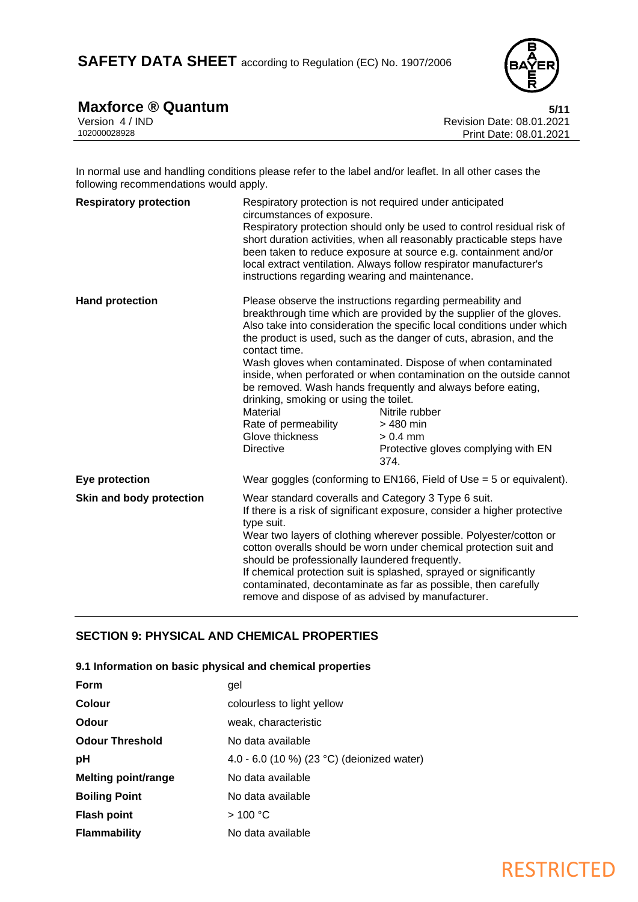![](_page_4_Picture_1.jpeg)

# **Maxforce ® Quantum** 5/11

| Version 4 / IND |  |
|-----------------|--|
| 102000028928    |  |

Revision Date: 08.01.2021 Print Date: 08.01.2021

In normal use and handling conditions please refer to the label and/or leaflet. In all other cases the following recommendations would apply.

| <b>Respiratory protection</b> | Respiratory protection is not required under anticipated<br>circumstances of exposure.<br>instructions regarding wearing and maintenance.                                                                                                                                                                                                                                                                                                                                                                                              | Respiratory protection should only be used to control residual risk of<br>short duration activities, when all reasonably practicable steps have<br>been taken to reduce exposure at source e.g. containment and/or<br>local extract ventilation. Always follow respirator manufacturer's                                                                                                                                                                                                                                                                                           |
|-------------------------------|----------------------------------------------------------------------------------------------------------------------------------------------------------------------------------------------------------------------------------------------------------------------------------------------------------------------------------------------------------------------------------------------------------------------------------------------------------------------------------------------------------------------------------------|------------------------------------------------------------------------------------------------------------------------------------------------------------------------------------------------------------------------------------------------------------------------------------------------------------------------------------------------------------------------------------------------------------------------------------------------------------------------------------------------------------------------------------------------------------------------------------|
| <b>Hand protection</b>        | contact time.<br>drinking, smoking or using the toilet.<br>Material<br>Rate of permeability<br>Glove thickness<br><b>Directive</b>                                                                                                                                                                                                                                                                                                                                                                                                     | Please observe the instructions regarding permeability and<br>breakthrough time which are provided by the supplier of the gloves.<br>Also take into consideration the specific local conditions under which<br>the product is used, such as the danger of cuts, abrasion, and the<br>Wash gloves when contaminated. Dispose of when contaminated<br>inside, when perforated or when contamination on the outside cannot<br>be removed. Wash hands frequently and always before eating,<br>Nitrile rubber<br>> 480 min<br>$> 0.4$ mm<br>Protective gloves complying with EN<br>374. |
| Eye protection                |                                                                                                                                                                                                                                                                                                                                                                                                                                                                                                                                        | Wear goggles (conforming to $EN166$ , Field of Use = 5 or equivalent).                                                                                                                                                                                                                                                                                                                                                                                                                                                                                                             |
| Skin and body protection      | Wear standard coveralls and Category 3 Type 6 suit.<br>If there is a risk of significant exposure, consider a higher protective<br>type suit.<br>Wear two layers of clothing wherever possible. Polyester/cotton or<br>cotton overalls should be worn under chemical protection suit and<br>should be professionally laundered frequently.<br>If chemical protection suit is splashed, sprayed or significantly<br>contaminated, decontaminate as far as possible, then carefully<br>remove and dispose of as advised by manufacturer. |                                                                                                                                                                                                                                                                                                                                                                                                                                                                                                                                                                                    |

# **SECTION 9: PHYSICAL AND CHEMICAL PROPERTIES**

## **9.1 Information on basic physical and chemical properties**

| <b>Form</b>                | gel                                        |  |
|----------------------------|--------------------------------------------|--|
| Colour                     | colourless to light yellow                 |  |
| Odour                      | weak, characteristic                       |  |
| <b>Odour Threshold</b>     | No data available                          |  |
| рH                         | 4.0 - 6.0 (10 %) (23 °C) (deionized water) |  |
| <b>Melting point/range</b> | No data available                          |  |
| <b>Boiling Point</b>       | No data available                          |  |
| <b>Flash point</b>         | >100 °C                                    |  |
| <b>Flammability</b>        | No data available                          |  |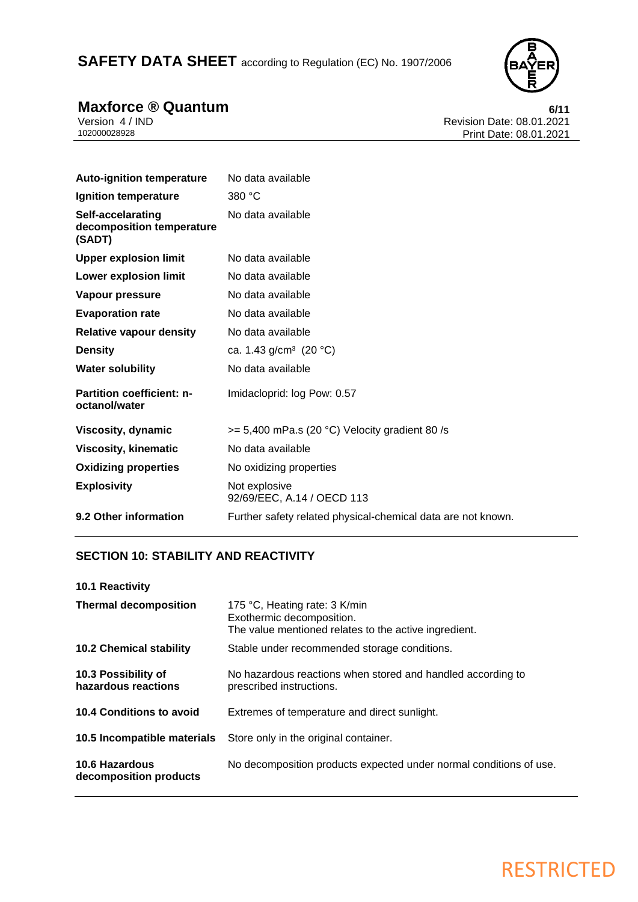SAFETY DATA SHEET according to Regulation (EC) No. 1907/2006

![](_page_5_Picture_1.jpeg)

**Maxforce ® Quantum**<br> **6/11**<br> **Revision Date: 08.01.2021**<br> **Revision Date: 08.01.2021** Version 4 / IND Revision Date: 08.01.2021 Print Date: 08.01.2021

| <b>Auto-ignition temperature</b>                         | No data available                                            |
|----------------------------------------------------------|--------------------------------------------------------------|
| Ignition temperature                                     | 380 °C                                                       |
| Self-accelarating<br>decomposition temperature<br>(SADT) | No data available                                            |
| <b>Upper explosion limit</b>                             | No data available                                            |
| Lower explosion limit                                    | No data available                                            |
| Vapour pressure                                          | No data available                                            |
| <b>Evaporation rate</b>                                  | No data available                                            |
| <b>Relative vapour density</b>                           | No data available                                            |
| <b>Density</b>                                           | ca. 1.43 g/cm <sup>3</sup> (20 °C)                           |
| <b>Water solubility</b>                                  | No data available                                            |
| <b>Partition coefficient: n-</b><br>octanol/water        | Imidacloprid: log Pow: 0.57                                  |
| Viscosity, dynamic                                       | $>= 5,400$ mPa.s (20 °C) Velocity gradient 80/s              |
| <b>Viscosity, kinematic</b>                              | No data available                                            |
| <b>Oxidizing properties</b>                              | No oxidizing properties                                      |
| <b>Explosivity</b>                                       | Not explosive<br>92/69/EEC, A.14 / OECD 113                  |
| 9.2 Other information                                    | Further safety related physical-chemical data are not known. |

# **SECTION 10: STABILITY AND REACTIVITY**

| <b>10.1 Reactivity</b>                     |                                                                                                                     |
|--------------------------------------------|---------------------------------------------------------------------------------------------------------------------|
| <b>Thermal decomposition</b>               | 175 °C, Heating rate: 3 K/min<br>Exothermic decomposition.<br>The value mentioned relates to the active ingredient. |
| <b>10.2 Chemical stability</b>             | Stable under recommended storage conditions.                                                                        |
| 10.3 Possibility of<br>hazardous reactions | No hazardous reactions when stored and handled according to<br>prescribed instructions.                             |
| 10.4 Conditions to avoid                   | Extremes of temperature and direct sunlight.                                                                        |
| 10.5 Incompatible materials                | Store only in the original container.                                                                               |
| 10.6 Hazardous<br>decomposition products   | No decomposition products expected under normal conditions of use.                                                  |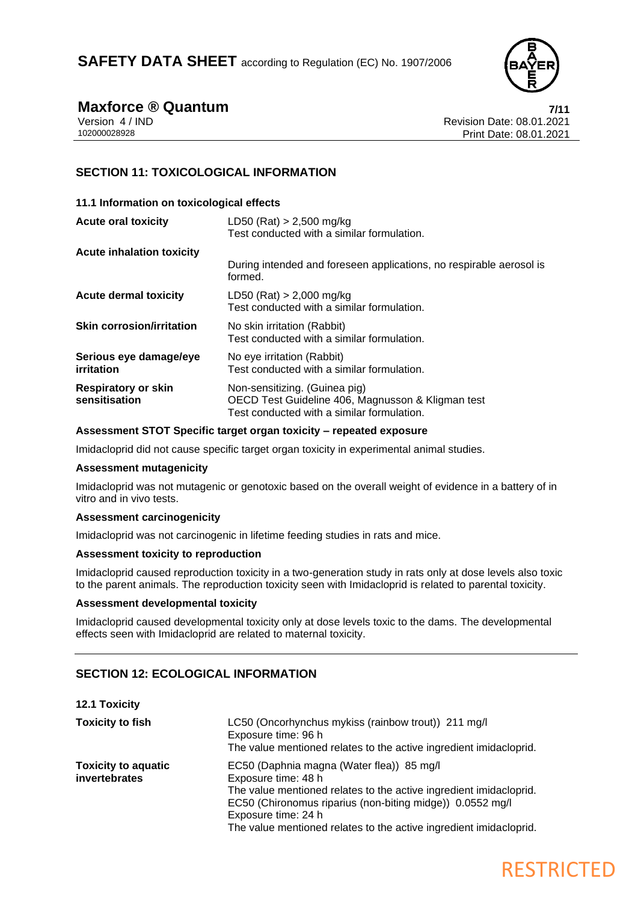![](_page_6_Picture_1.jpeg)

**Maxforce ® Quantum**<br>
Version 4/IND<br>
Revision Date: 08.01.2021 Version 4 / IND<br>102000028928<br>Print Date: 08.01.2021 Print Date: 08.01.2021

# **SECTION 11: TOXICOLOGICAL INFORMATION**

| 11.1 Information on toxicological effects   |                                                                                                                                  |
|---------------------------------------------|----------------------------------------------------------------------------------------------------------------------------------|
| <b>Acute oral toxicity</b>                  | LD50 (Rat) $> 2,500$ mg/kg<br>Test conducted with a similar formulation.                                                         |
| Acute inhalation toxicity                   |                                                                                                                                  |
|                                             | During intended and foreseen applications, no respirable aerosol is<br>formed.                                                   |
| <b>Acute dermal toxicity</b>                | LD50 (Rat) $> 2,000$ mg/kg<br>Test conducted with a similar formulation.                                                         |
| <b>Skin corrosion/irritation</b>            | No skin irritation (Rabbit)<br>Test conducted with a similar formulation.                                                        |
| Serious eye damage/eye<br>irritation        | No eye irritation (Rabbit)<br>Test conducted with a similar formulation.                                                         |
| <b>Respiratory or skin</b><br>sensitisation | Non-sensitizing. (Guinea pig)<br>OECD Test Guideline 406, Magnusson & Kligman test<br>Test conducted with a similar formulation. |

### **Assessment STOT Specific target organ toxicity – repeated exposure**

Imidacloprid did not cause specific target organ toxicity in experimental animal studies.

## **Assessment mutagenicity**

Imidacloprid was not mutagenic or genotoxic based on the overall weight of evidence in a battery of in vitro and in vivo tests.

## **Assessment carcinogenicity**

Imidacloprid was not carcinogenic in lifetime feeding studies in rats and mice.

### **Assessment toxicity to reproduction**

Imidacloprid caused reproduction toxicity in a two-generation study in rats only at dose levels also toxic to the parent animals. The reproduction toxicity seen with Imidacloprid is related to parental toxicity.

### **Assessment developmental toxicity**

Imidacloprid caused developmental toxicity only at dose levels toxic to the dams. The developmental effects seen with Imidacloprid are related to maternal toxicity.

# **SECTION 12: ECOLOGICAL INFORMATION**

### **12.1 Toxicity**

| <b>Toxicity to fish</b>                     | LC50 (Oncorhynchus mykiss (rainbow trout)) 211 mg/l<br>Exposure time: 96 h<br>The value mentioned relates to the active ingredient imidacloprid.                                                                                                                                                 |
|---------------------------------------------|--------------------------------------------------------------------------------------------------------------------------------------------------------------------------------------------------------------------------------------------------------------------------------------------------|
| <b>Toxicity to aquatic</b><br>invertebrates | EC50 (Daphnia magna (Water flea)) 85 mg/l<br>Exposure time: 48 h<br>The value mentioned relates to the active ingredient imidacloprid.<br>EC50 (Chironomus riparius (non-biting midge)) 0.0552 mg/l<br>Exposure time: 24 h<br>The value mentioned relates to the active ingredient imidacloprid. |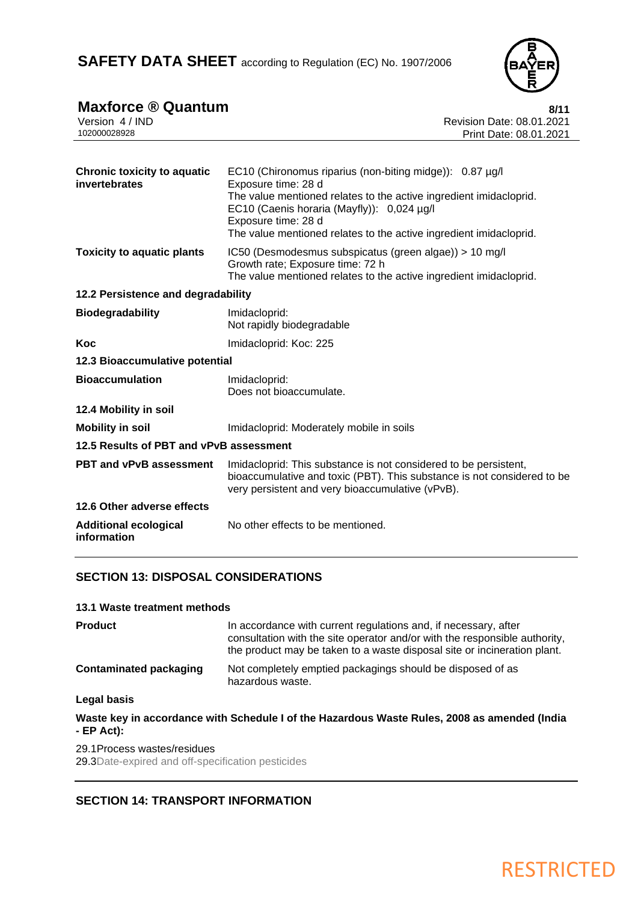![](_page_7_Picture_1.jpeg)

| <b>Maxforce ® Quantum</b>                           | 8/11                                                                                                                                                                                                                                                                                             |
|-----------------------------------------------------|--------------------------------------------------------------------------------------------------------------------------------------------------------------------------------------------------------------------------------------------------------------------------------------------------|
| Version 4 / IND<br>102000028928                     | Revision Date: 08.01.2021                                                                                                                                                                                                                                                                        |
|                                                     | Print Date: 08.01.2021                                                                                                                                                                                                                                                                           |
| <b>Chronic toxicity to aquatic</b><br>invertebrates | EC10 (Chironomus riparius (non-biting midge)): 0.87 µg/l<br>Exposure time: 28 d<br>The value mentioned relates to the active ingredient imidacloprid.<br>EC10 (Caenis horaria (Mayfly)): 0,024 µg/l<br>Exposure time: 28 d<br>The value mentioned relates to the active ingredient imidacloprid. |
| <b>Toxicity to aquatic plants</b>                   | IC50 (Desmodesmus subspicatus (green algae)) > 10 mg/l<br>Growth rate; Exposure time: 72 h<br>The value mentioned relates to the active ingredient imidacloprid.                                                                                                                                 |
| 12.2 Persistence and degradability                  |                                                                                                                                                                                                                                                                                                  |
| <b>Biodegradability</b>                             | Imidacloprid:<br>Not rapidly biodegradable                                                                                                                                                                                                                                                       |
| <b>Koc</b>                                          | Imidacloprid: Koc: 225                                                                                                                                                                                                                                                                           |
| 12.3 Bioaccumulative potential                      |                                                                                                                                                                                                                                                                                                  |
| <b>Bioaccumulation</b>                              | Imidacloprid:<br>Does not bioaccumulate.                                                                                                                                                                                                                                                         |
| 12.4 Mobility in soil                               |                                                                                                                                                                                                                                                                                                  |
| <b>Mobility in soil</b>                             | Imidacloprid: Moderately mobile in soils                                                                                                                                                                                                                                                         |
| 12.5 Results of PBT and vPvB assessment             |                                                                                                                                                                                                                                                                                                  |
| <b>PBT and vPvB assessment</b>                      | Imidacloprid: This substance is not considered to be persistent,<br>bioaccumulative and toxic (PBT). This substance is not considered to be<br>very persistent and very bioaccumulative (vPvB).                                                                                                  |
| 12.6 Other adverse effects                          |                                                                                                                                                                                                                                                                                                  |
| <b>Additional ecological</b><br>information         | No other effects to be mentioned.                                                                                                                                                                                                                                                                |
|                                                     |                                                                                                                                                                                                                                                                                                  |

# **SECTION 13: DISPOSAL CONSIDERATIONS**

# **13.1 Waste treatment methods**

| <b>Product</b>                | In accordance with current regulations and, if necessary, after<br>consultation with the site operator and/or with the responsible authority,<br>the product may be taken to a waste disposal site or incineration plant. |
|-------------------------------|---------------------------------------------------------------------------------------------------------------------------------------------------------------------------------------------------------------------------|
| <b>Contaminated packaging</b> | Not completely emptied packagings should be disposed of as<br>hazardous waste.                                                                                                                                            |
| Legal basis                   |                                                                                                                                                                                                                           |

**Waste key in accordance with Schedule I of the Hazardous Waste Rules, 2008 as amended (India - EP Act):**

# 29.1Process wastes/residues

29.3Date-expired and off-specification pesticides

# **SECTION 14: TRANSPORT INFORMATION**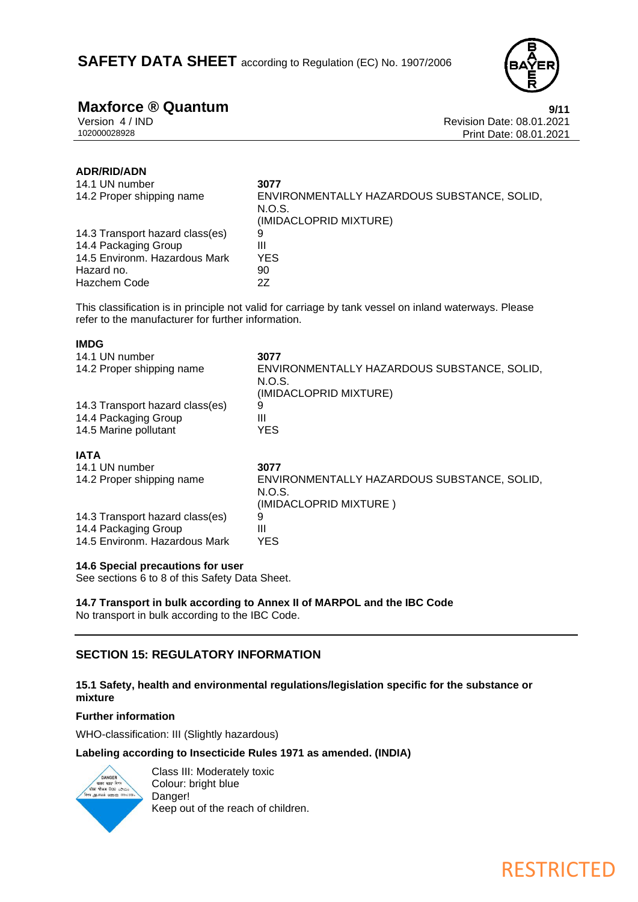![](_page_8_Picture_1.jpeg)

**Maxforce ® Quantum**<br>Version 4/IND<br>Revision Date: 08.01.2021 Version 4 / IND<br>102000028928<br>Print Date: 08.01.2021<br>Revision Date: 08.01.2021 Print Date: 08.01.2021

# **ADR/RID/ADN**

**IMDG**

| 14.1 UN number<br>14.2 Proper shipping name | 3077<br>ENVIRONMENTALLY HAZARDOUS SUBSTANCE, SOLID, |
|---------------------------------------------|-----------------------------------------------------|
|                                             | N.O.S.<br>(IMIDACLOPRID MIXTURE)                    |
| 14.3 Transport hazard class(es)             | 9                                                   |
| 14.4 Packaging Group                        | Ш                                                   |
| 14.5 Environm. Hazardous Mark               | <b>YES</b>                                          |
| Hazard no.                                  | 90                                                  |
| Hazchem Code                                | 27                                                  |

This classification is in principle not valid for carriage by tank vessel on inland waterways. Please refer to the manufacturer for further information.

| טשוו                            |                                                                                 |
|---------------------------------|---------------------------------------------------------------------------------|
| 14.1 UN number                  | 3077                                                                            |
| 14.2 Proper shipping name       | ENVIRONMENTALLY HAZARDOUS SUBSTANCE, SOLID,<br>N.O.S.<br>(IMIDACLOPRID MIXTURE) |
| 14.3 Transport hazard class(es) | 9                                                                               |
| 14.4 Packaging Group            | Ш                                                                               |
| 14.5 Marine pollutant           | <b>YES</b>                                                                      |
| IATA                            |                                                                                 |
| 14.1 UN number                  | 3077                                                                            |
| 14.2 Proper shipping name       | ENVIRONMENTALLY HAZARDOUS SUBSTANCE, SOLID,<br>N.O.S.                           |
|                                 | (IMIDACLOPRID MIXTURE)                                                          |
| 14.3 Transport hazard class(es) | 9                                                                               |
| 14.4 Packaging Group            | Ш                                                                               |
| 14.5 Environm. Hazardous Mark   | <b>YES</b>                                                                      |

# **14.6 Special precautions for user**

See sections 6 to 8 of this Safety Data Sheet.

**14.7 Transport in bulk according to Annex II of MARPOL and the IBC Code** No transport in bulk according to the IBC Code.

# **SECTION 15: REGULATORY INFORMATION**

# **15.1 Safety, health and environmental regulations/legislation specific for the substance or mixture**

## **Further information**

WHO-classification: III (Slightly hazardous)

## **Labeling according to Insecticide Rules 1971 as amended. (INDIA)**

![](_page_8_Picture_17.jpeg)

Class III: Moderately toxic Colour: bright blue Danger! Keep out of the reach of children.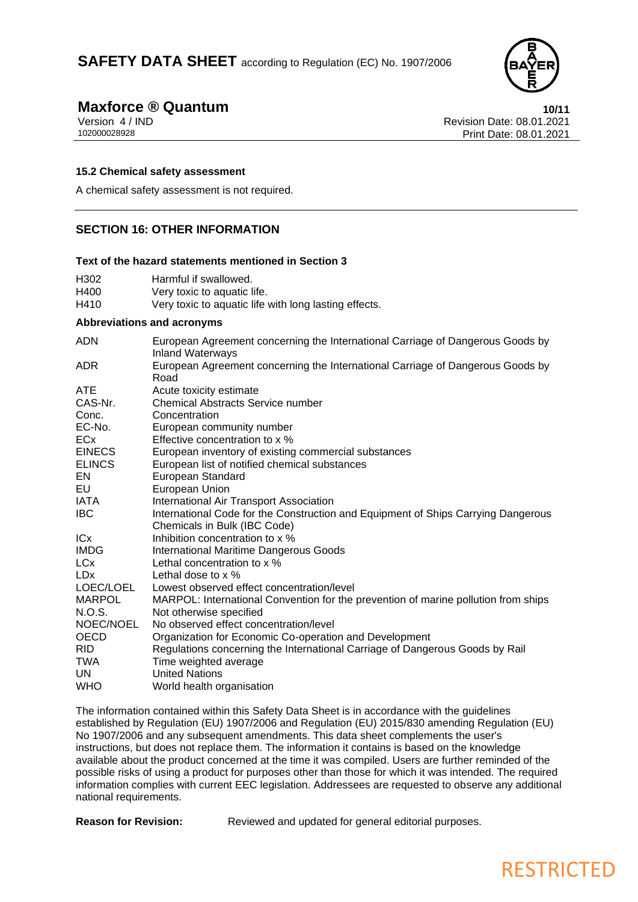![](_page_9_Picture_1.jpeg)

# **Maxforce ® Quantum**<br>Version 4/IND<br>Revision Date: 08.01.2021

Version 4 / IND<br>102000028928<br>Print Date: 08.01.2021 Print Date: 08.01.2021

### **15.2 Chemical safety assessment**

A chemical safety assessment is not required.

# **SECTION 16: OTHER INFORMATION**

### **Text of the hazard statements mentioned in Section 3**

| H302 | Harmful if swallowed.                                 |
|------|-------------------------------------------------------|
| H400 | Very toxic to aquatic life.                           |
| H410 | Very toxic to aquatic life with long lasting effects. |

### **Abbreviations and acronyms**

| <b>ADN</b>    | European Agreement concerning the International Carriage of Dangerous Goods by<br><b>Inland Waterways</b>         |
|---------------|-------------------------------------------------------------------------------------------------------------------|
| ADR           | European Agreement concerning the International Carriage of Dangerous Goods by<br>Road                            |
| <b>ATE</b>    | Acute toxicity estimate                                                                                           |
| CAS-Nr.       | <b>Chemical Abstracts Service number</b>                                                                          |
| Conc.         | Concentration                                                                                                     |
| EC-No.        | European community number                                                                                         |
| <b>ECx</b>    | Effective concentration to x %                                                                                    |
| <b>EINECS</b> | European inventory of existing commercial substances                                                              |
| <b>ELINCS</b> | European list of notified chemical substances                                                                     |
| EN            | European Standard                                                                                                 |
| EU            | European Union                                                                                                    |
| IATA          | International Air Transport Association                                                                           |
| <b>IBC</b>    | International Code for the Construction and Equipment of Ships Carrying Dangerous<br>Chemicals in Bulk (IBC Code) |
| <b>ICx</b>    | Inhibition concentration to x %                                                                                   |
| <b>IMDG</b>   | <b>International Maritime Dangerous Goods</b>                                                                     |
| <b>LCx</b>    | Lethal concentration to x %                                                                                       |
| <b>LDx</b>    | Lethal dose to $\times$ %                                                                                         |
| LOEC/LOEL     | Lowest observed effect concentration/level                                                                        |
| <b>MARPOL</b> | MARPOL: International Convention for the prevention of marine pollution from ships                                |
| N.O.S.        | Not otherwise specified                                                                                           |
| NOEC/NOEL     | No observed effect concentration/level                                                                            |
| <b>OECD</b>   | Organization for Economic Co-operation and Development                                                            |
| <b>RID</b>    | Regulations concerning the International Carriage of Dangerous Goods by Rail                                      |
| TWA           | Time weighted average                                                                                             |
| UN.           | <b>United Nations</b>                                                                                             |
| <b>WHO</b>    | World health organisation                                                                                         |

The information contained within this Safety Data Sheet is in accordance with the guidelines established by Regulation (EU) 1907/2006 and Regulation (EU) 2015/830 amending Regulation (EU) No 1907/2006 and any subsequent amendments. This data sheet complements the user's instructions, but does not replace them. The information it contains is based on the knowledge available about the product concerned at the time it was compiled. Users are further reminded of the possible risks of using a product for purposes other than those for which it was intended. The required information complies with current EEC legislation. Addressees are requested to observe any additional national requirements.

**Reason for Revision:** Reviewed and updated for general editorial purposes.